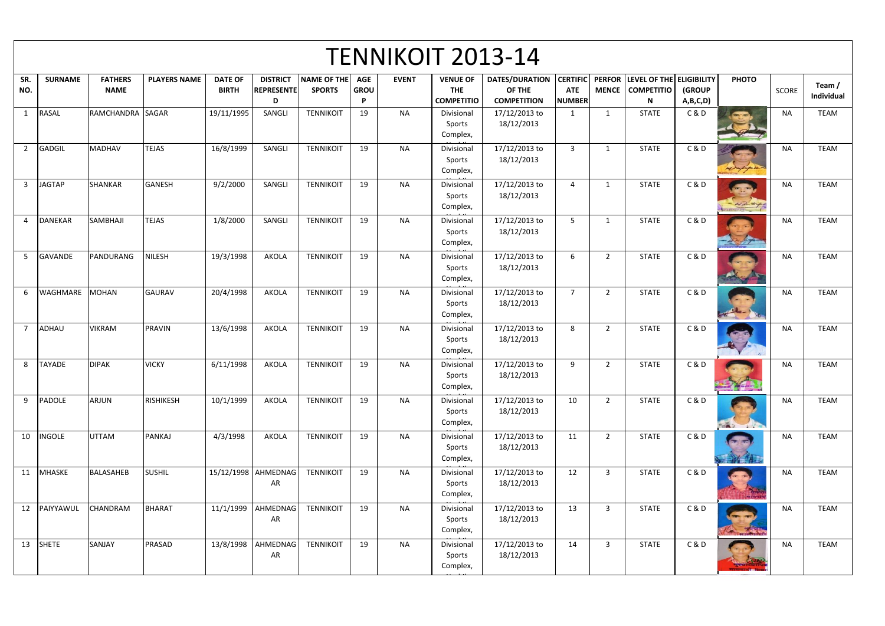|                | <b>TENNIKOIT 2013-14</b> |                               |                     |                                |                                           |                              |                                       |              |                                                    |                                                       |                                                |                               |                                                    |                    |              |              |                      |
|----------------|--------------------------|-------------------------------|---------------------|--------------------------------|-------------------------------------------|------------------------------|---------------------------------------|--------------|----------------------------------------------------|-------------------------------------------------------|------------------------------------------------|-------------------------------|----------------------------------------------------|--------------------|--------------|--------------|----------------------|
| SR.<br>NO.     | <b>SURNAME</b>           | <b>FATHERS</b><br><b>NAME</b> | <b>PLAYERS NAME</b> | <b>DATE OF</b><br><b>BIRTH</b> | <b>DISTRICT</b><br><b>REPRESENTE</b><br>D | NAME OF THE<br><b>SPORTS</b> | <b>AGE</b><br><b>GROU</b><br><b>P</b> | <b>EVENT</b> | <b>VENUE OF</b><br><b>THE</b><br><b>COMPETITIO</b> | <b>DATES/DURATION</b><br>OF THE<br><b>COMPETITION</b> | <b>CERTIFIC</b><br><b>ATE</b><br><b>NUMBER</b> | <b>PERFOR</b><br><b>MENCE</b> | LEVEL OF THE ELIGIBILITY<br><b>COMPETITIO</b><br>N | (GROUP<br>A,B,C,D) | <b>PHOTO</b> | <b>SCORE</b> | Team /<br>Individual |
| $\overline{1}$ | <b>RASAL</b>             | RAMCHANDRA SAGAR              |                     | 19/11/1995                     | SANGLI                                    | <b>TENNIKOIT</b>             | 19                                    | <b>NA</b>    | Divisional<br>Sports<br>Complex,                   | 17/12/2013 to<br>18/12/2013                           | 1                                              | $\mathbf{1}$                  | <b>STATE</b>                                       | C&D                |              | <b>NA</b>    | <b>TEAM</b>          |
| $\overline{2}$ | GADGIL                   | <b>MADHAV</b>                 | <b>TEJAS</b>        | 16/8/1999                      | SANGLI                                    | <b>TENNIKOIT</b>             | 19                                    | <b>NA</b>    | Divisional<br>Sports<br>Complex,                   | 17/12/2013 to<br>18/12/2013                           | $\overline{3}$                                 | $\mathbf{1}$                  | <b>STATE</b>                                       | C & D              | montrepa     | <b>NA</b>    | <b>TEAM</b>          |
| $\overline{3}$ | <b>JAGTAP</b>            | <b>SHANKAR</b>                | <b>GANESH</b>       | 9/2/2000                       | SANGLI                                    | <b>TENNIKOIT</b>             | 19                                    | <b>NA</b>    | Divisional<br>Sports<br>Complex,                   | 17/12/2013 to<br>18/12/2013                           | 4                                              | -1                            | <b>STATE</b>                                       | C & D              | - Mantype    | <b>NA</b>    | <b>TEAM</b>          |
|                | <b>DANEKAR</b>           | SAMBHAJI                      | <b>TEJAS</b>        | 1/8/2000                       | SANGLI                                    | <b>TENNIKOIT</b>             | 19                                    | <b>NA</b>    | Divisional<br>Sports<br>Complex,                   | 17/12/2013 to<br>18/12/2013                           | -5                                             | -1                            | <b>STATE</b>                                       | C & D              |              | NA.          | <b>TEAM</b>          |
| -5             | <b>GAVANDE</b>           | PANDURANG                     | <b>NILESH</b>       | 19/3/1998                      | <b>AKOLA</b>                              | <b>TENNIKOIT</b>             | 19                                    | <b>NA</b>    | Divisional<br>Sports<br>Complex,                   | 17/12/2013 to<br>18/12/2013                           | 6                                              | $\overline{2}$                | <b>STATE</b>                                       | C & D              |              | <b>NA</b>    | <b>TEAM</b>          |
| 6              | <b>WAGHMARE</b>          | MOHAN                         | <b>GAURAV</b>       | 20/4/1998                      | <b>AKOLA</b>                              | <b>TENNIKOIT</b>             | 19                                    | <b>NA</b>    | Divisional<br>Sports<br>Complex,                   | 17/12/2013 to<br>18/12/2013                           | $\overline{7}$                                 | $2^{\circ}$                   | <b>STATE</b>                                       | C & D              |              | <b>NA</b>    | <b>TEAM</b>          |
|                | ADHAU                    | <b>VIKRAM</b>                 | <b>PRAVIN</b>       | 13/6/1998                      | AKOLA                                     | <b>TENNIKOIT</b>             | 19                                    | <b>NA</b>    | Divisional<br>Sports<br>Complex,                   | 17/12/2013 to<br>18/12/2013                           | 8                                              | $\overline{2}$                | <b>STATE</b>                                       | C & D              |              | NA.          | <b>TEAM</b>          |
| 8              | <b>TAYADE</b>            | <b>DIPAK</b>                  | <b>VICKY</b>        | 6/11/1998                      | AKOLA                                     | <b>TENNIKOIT</b>             | 19                                    | <b>NA</b>    | Divisional<br>Sports<br>Complex,                   | 17/12/2013 to<br>18/12/2013                           | 9                                              | 2                             | <b>STATE</b>                                       | C & D              | -74          | ΝA           | <b>TEAM</b>          |
| 9              | <b>PADOLE</b>            | ARJUN                         | <b>RISHIKESH</b>    | 10/1/1999                      | AKOLA                                     | <b>TENNIKOIT</b>             | 19                                    | <b>NA</b>    | Divisional<br>Sports<br>Complex,                   | 17/12/2013 to<br>18/12/2013                           | 10                                             | $2^{\circ}$                   | <b>STATE</b>                                       | C & D              | GAV          | <b>NA</b>    | <b>TEAM</b>          |
| 10             | <b>INGOLE</b>            | <b>UTTAM</b>                  | <b>PANKAJ</b>       | 4/3/1998                       | AKOLA                                     | <b>TENNIKOIT</b>             | 19                                    | <b>NA</b>    | Divisional<br>Sports<br>Complex,                   | 17/12/2013 to<br>18/12/2013                           | 11                                             | $\overline{2}$                | <b>STATE</b>                                       | C & D              | فتتلقط       | <b>NA</b>    | <b>TEAM</b>          |
|                | 11 MHASKE                | <b>BALASAHEB</b>              | <b>SUSHIL</b>       |                                | 15/12/1998 AHMEDNAG<br>AR                 | <b>TENNIKOIT</b>             | 19                                    | <b>NA</b>    | Divisional<br>Sports<br>Complex,                   | 17/12/2013 to<br>18/12/2013                           | 12                                             | $\overline{3}$                | <b>STATE</b>                                       | C&D                |              | <b>NA</b>    | <b>TEAM</b>          |
| 12             | PAIYYAWUL                | CHANDRAM                      | <b>BHARAT</b>       | 11/1/1999                      | AHMEDNAG<br>AR                            | <b>TENNIKOIT</b>             | 19                                    | <b>NA</b>    | Divisional<br>Sports<br>Complex,                   | 17/12/2013 to<br>18/12/2013                           | 13                                             | $\mathbf{3}$                  | <b>STATE</b>                                       | C&D                |              | <b>NA</b>    | <b>TEAM</b>          |
|                | 13 SHETE                 | SANJAY                        | PRASAD              | 13/8/1998                      | AHMEDNAG<br>AR                            | <b>TENNIKOIT</b>             | 19                                    | <b>NA</b>    | Divisional<br>Sports<br>Complex,                   | 17/12/2013 to<br>18/12/2013                           | 14                                             | $\mathbf{3}$                  | <b>STATE</b>                                       | C&D                | न्दुदृश्यम   | <b>NA</b>    | <b>TEAM</b>          |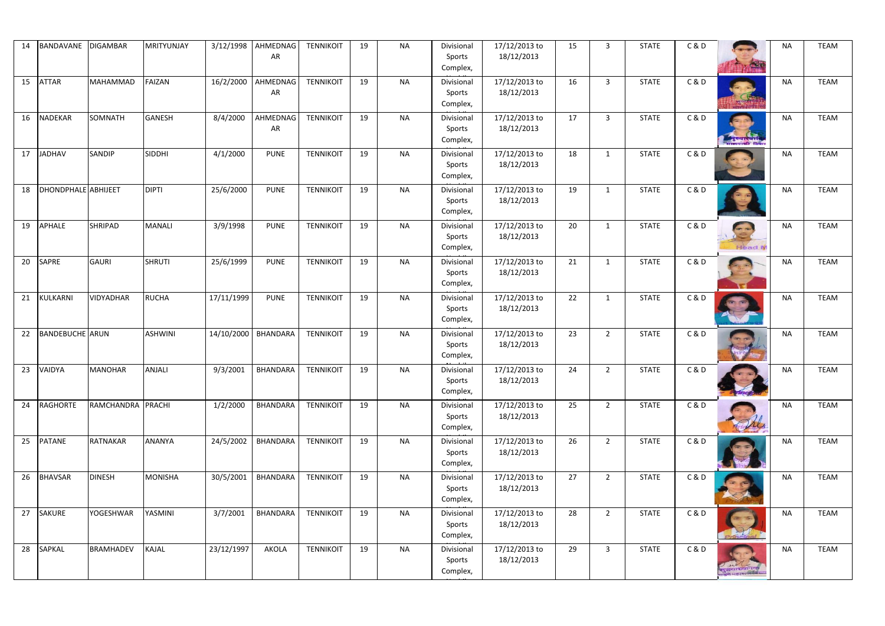| 14 | BANDAVANE              | DIGAMBAR          | MRITYUNJAY     | 3/12/1998  | AHMEDNAG<br>AR  | <b>TENNIKOIT</b> | 19 | <b>NA</b> | Divisional<br>Sports<br>Complex, | 17/12/2013 to<br>18/12/2013 | 15 | 3              | <b>STATE</b> | C & D          | <b>ANSIV</b>                        | <b>NA</b> | <b>TEAM</b> |
|----|------------------------|-------------------|----------------|------------|-----------------|------------------|----|-----------|----------------------------------|-----------------------------|----|----------------|--------------|----------------|-------------------------------------|-----------|-------------|
| 15 | <b>ATTAR</b>           | MAHAMMAD          | <b>FAIZAN</b>  | 16/2/2000  | AHMEDNAG<br>AR  | <b>TENNIKOIT</b> | 19 | <b>NA</b> | Divisional<br>Sports<br>Complex, | 17/12/2013 to<br>18/12/2013 | 16 | $\overline{3}$ | <b>STATE</b> | C & D          |                                     | <b>NA</b> | <b>TEAM</b> |
| 16 | <b>NADEKAR</b>         | SOMNATH           | <b>GANESH</b>  | 8/4/2000   | AHMEDNAG<br>AR  | <b>TENNIKOIT</b> | 19 | <b>NA</b> | Divisional<br>Sports<br>Complex, | 17/12/2013 to<br>18/12/2013 | 17 | 3              | <b>STATE</b> | C&D            | न् स्थान्यासि<br>पाछपाणी किया       | <b>NA</b> | <b>TEAM</b> |
| 17 | <b>JADHAV</b>          | <b>SANDIP</b>     | <b>SIDDHI</b>  | 4/1/2000   | <b>PUNE</b>     | <b>TENNIKOIT</b> | 19 | <b>NA</b> | Divisional<br>Sports<br>Complex, | 17/12/2013 to<br>18/12/2013 | 18 | $\overline{1}$ | <b>STATE</b> | C&D            |                                     | <b>NA</b> | <b>TEAM</b> |
| 18 | DHONDPHALE ABHIJEET    |                   | <b>DIPTI</b>   | 25/6/2000  | <b>PUNE</b>     | <b>TENNIKOIT</b> | 19 | <b>NA</b> | Divisional<br>Sports<br>Complex, | 17/12/2013 to<br>18/12/2013 | 19 | $\overline{1}$ | <b>STATE</b> | C & D          |                                     | <b>NA</b> | <b>TEAM</b> |
| 19 | <b>APHALE</b>          | <b>SHRIPAD</b>    | <b>MANALI</b>  | 3/9/1998   | <b>PUNE</b>     | <b>TENNIKOIT</b> | 19 | <b>NA</b> | Divisional<br>Sports<br>Complex, | 17/12/2013 to<br>18/12/2013 | 20 | 1              | <b>STATE</b> | C&D            | <b>Contract</b><br><b>Head IV</b>   | <b>NA</b> | <b>TEAM</b> |
| 20 | <b>SAPRE</b>           | <b>GAURI</b>      | <b>SHRUTI</b>  | 25/6/1999  | <b>PUNE</b>     | <b>TENNIKOIT</b> | 19 | <b>NA</b> | Divisional<br>Sports<br>Complex, | 17/12/2013 to<br>18/12/2013 | 21 | -1             | <b>STATE</b> | <b>C&amp;D</b> |                                     | <b>NA</b> | <b>TEAM</b> |
| 21 | KULKARNI               | VIDYADHAR         | <b>RUCHA</b>   | 17/11/1999 | <b>PUNE</b>     | <b>TENNIKOIT</b> | 19 | <b>NA</b> | Divisional<br>Sports<br>Complex, | 17/12/2013 to<br>18/12/2013 | 22 | $\mathbf{1}$   | <b>STATE</b> | C&D            |                                     | <b>NA</b> | <b>TEAM</b> |
| 22 | <b>BANDEBUCHE</b> ARUN |                   | ASHWINI        | 14/10/2000 | <b>BHANDARA</b> | <b>TENNIKOIT</b> | 19 | <b>NA</b> | Divisional<br>Sports<br>Complex, | 17/12/2013 to<br>18/12/2013 | 23 | $2^{\circ}$    | <b>STATE</b> | C & D          | <u>जिल्ला अस्ति </u>                | NA        | <b>TEAM</b> |
|    | 23 VAIDYA              | <b>MANOHAR</b>    | ANJALI         | 9/3/2001   | <b>BHANDARA</b> | <b>TENNIKOIT</b> | 19 | <b>NA</b> | Divisional<br>Sports<br>Complex, | 17/12/2013 to<br>18/12/2013 | 24 | ി              | <b>STATE</b> | <b>C&amp;D</b> |                                     | <b>NA</b> | <b>TEAM</b> |
| 24 | RAGHORTE               | RAMCHANDRA PRACHI |                | 1/2/2000   | BHANDARA        | <b>TENNIKOIT</b> | 19 | <b>NA</b> | Divisional<br>Sports<br>Complex, | 17/12/2013 to<br>18/12/2013 | 25 | $2^{\circ}$    | <b>STATE</b> | C&D            |                                     | NA        | <b>TEAM</b> |
| 25 | <b>PATANE</b>          | <b>RATNAKAR</b>   | ANANYA         | 24/5/2002  | BHANDARA        | <b>TENNIKOIT</b> | 19 | <b>NA</b> | Divisional<br>Sports<br>Complex, | 17/12/2013 to<br>18/12/2013 | 26 | $2^{\circ}$    | <b>STATE</b> | C & D          |                                     | <b>NA</b> | <b>TEAM</b> |
| 26 | <b>BHAVSAR</b>         | <b>DINESH</b>     | <b>MONISHA</b> | 30/5/2001  | BHANDARA        | <b>TENNIKOIT</b> | 19 | <b>NA</b> | Divisional<br>Sports<br>Complex, | 17/12/2013 to<br>18/12/2013 | 27 | $2^{\circ}$    | <b>STATE</b> | C&D            |                                     | <b>NA</b> | <b>TEAM</b> |
|    | 27 SAKURE              | <b>YOGESHWAR</b>  | YASMINI        | 3/7/2001   | BHANDARA        | <b>TENNIKOIT</b> | 19 | <b>NA</b> | Divisional<br>Sports<br>Complex, | 17/12/2013 to<br>18/12/2013 | 28 | $2^{\circ}$    | <b>STATE</b> | C & D          |                                     | NA        | <b>TEAM</b> |
| 28 | <b>SAPKAL</b>          | <b>BRAMHADEV</b>  | <b>KAJAL</b>   | 23/12/1997 | AKOLA           | <b>TENNIKOIT</b> | 19 | <b>NA</b> | Divisional<br>Sports<br>Complex, | 17/12/2013 to<br>18/12/2013 | 29 | $\mathbf{3}$   | <b>STATE</b> | C&D            | सुरख्याध्यापादः<br>गडते महाराज्यसम् | <b>NA</b> | <b>TEAM</b> |